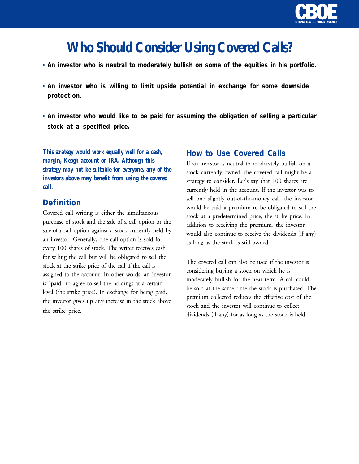

# **Who Should Consider Using Covered Calls?**

- *• An investor who is neutral to moderately bullish on some of the equities in his portfolio.*
- *• An investor who is willing to limit upside potential in exchange for some downside protection.*
- *• An investor who would like to be paid for assuming the obligation of selling a particular stock at a specified price.*

*This strategy would work equally well for a cash, margin, Keogh account or IRA. Although this strategy may not be suitable for everyone, any of the investors above may benefit from using the covered call.*

## *Definition*

Covered call writing is either the simultaneous purchase of stock and the sale of a call option or the sale of a call option against a stock currently held by an investor. Generally, one call option is sold for every 100 shares of stock. The writer receives cash for selling the call but will be obligated to sell the stock at the strike price of the call if the call is assigned to the account. In other words, an investor is "paid" to agree to sell the holdings at a certain level (the strike price). In exchange for being paid, the investor gives up any increase in the stock above the strike price.

## *How to Use Covered Calls*

If an investor is neutral to moderately bullish on a stock currently owned, the covered call might be a strategy to consider. Let's say that 100 shares are currently held in the account. If the investor was to sell one slightly out-of-the-money call, the investor would be paid a premium to be obligated to sell the stock at a predetermined price, the strike price. In addition to receiving the premium, the investor would also continue to receive the dividends (if any) as long as the stock is still owned.

The covered call can also be used if the investor is considering buying a stock on which he is moderately bullish for the near term. A call could be sold at the same time the stock is purchased. The premium collected reduces the effective cost of the stock and the investor will continue to collect dividends (if any) for as long as the stock is held.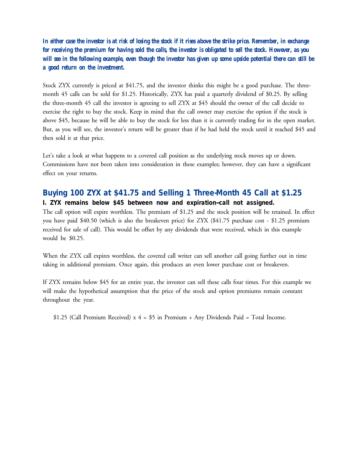*In either case the investor is at risk of losing the stock if it rises above the strike price. Remember, in exchange for receiving the premium for having sold the calls, the investor is obligated to sell the stock. However, as you will see in the following example, even though the investor has given up some upside potential there can still be a good return on the investment.*

Stock ZYX currently is priced at \$41.75, and the investor thinks this might be a good purchase. The threemonth 45 calls can be sold for \$1.25. Historically, ZYX has paid a quarterly dividend of \$0.25. By selling the three-month 45 call the investor is agreeing to sell ZYX at \$45 should the owner of the call decide to exercise the right to buy the stock. Keep in mind that the call owner may exercise the option if the stock is above \$45, because he will be able to buy the stock for less than it is currently trading for in the open market. But, as you will see, the investor's return will be greater than if he had held the stock until it reached \$45 and then sold it at that price.

Let's take a look at what happens to a covered call position as the underlying stock moves up or down. Commissions have not been taken into consideration in these examples; however, they can have a significant effect on your returns.

## *Buying 100 ZYX at \$41.75 and Selling 1 Three-Month 45 Call at \$1.25 I. ZYX remains below \$45 between now and expiration--call not assigned.*

The call option will expire worthless. The premium of \$1.25 and the stock position will be retained. In effect you have paid \$40.50 (which is also the breakeven price) for ZYX (\$41.75 purchase cost - \$1.25 premium received for sale of call). This would be offset by any dividends that were received, which in this example would be \$0.25.

When the ZYX call expires worthless, the covered call writer can sell another call going further out in time taking in additional premium. Once again, this produces an even lower purchase cost or breakeven.

If ZYX remains below \$45 for an entire year, the investor can sell these calls four times. For this example we will make the hypothetical assumption that the price of the stock and option premiums remain constant throughout the year.

\$1.25 (Call Premium Received)  $x 4 = $5$  in Premium + Any Dividends Paid = Total Income.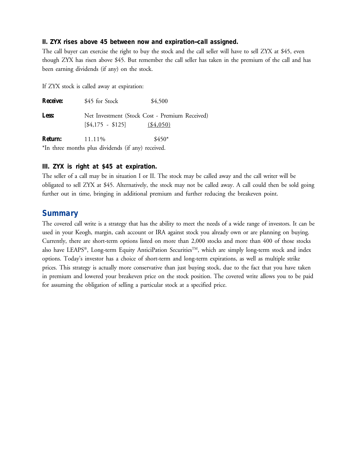#### *II. ZYX rises above 45 between now and expiration--call assigned.*

The call buyer can exercise the right to buy the stock and the call seller will have to sell ZYX at \$45, even though ZYX has risen above \$45. But remember the call seller has taken in the premium of the call and has been earning dividends (if any) on the stock.

If ZYX stock is called away at expiration:

| <b>Receive:</b> | \$45 for Stock         | \$4,500                                                      |
|-----------------|------------------------|--------------------------------------------------------------|
| Less:           | $\[ \$4,175 - $125 \]$ | Net Investment (Stock Cost - Premium Received)<br>( \$4,050) |
| <b>Return:</b>  | 11.11\%                | $$450*$                                                      |
|                 |                        |                                                              |

\*In three months plus dividends (if any) received.

#### *III. ZYX is right at \$45 at expiration.*

The seller of a call may be in situation I or II. The stock may be called away and the call writer will be obligated to sell ZYX at \$45. Alternatively, the stock may not be called away. A call could then be sold going further out in time, bringing in additional premium and further reducing the breakeven point.

## *Summary*

The covered call write is a strategy that has the ability to meet the needs of a wide range of investors. It can be used in your Keogh, margin, cash account or IRA against stock you already own or are planning on buying. Currently, there are short-term options listed on more than 2,000 stocks and more than 400 of those stocks also have LEAPS®, Long-term Equity AnticiPation Securities™, which are simply long-term stock and index options. Today's investor has a choice of short-term and long-term expirations, as well as multiple strike prices. This strategy is actually more conservative than just buying stock, due to the fact that you have taken in premium and lowered your breakeven price on the stock position. The covered write allows you to be paid for assuming the obligation of selling a particular stock at a specified price.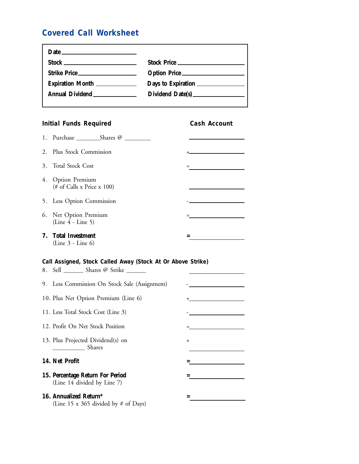## *Covered Call Worksheet*

| Date $\qquad \qquad$ |                                     |
|----------------------|-------------------------------------|
|                      | Stock Price                         |
| Strike Price         | Option Price                        |
| Expiration Month     |                                     |
|                      | Dividend Date(s) __________________ |
|                      |                                     |

## **Initial Funds Required Cash Account**

| 2. Plus Stock Commission                        |  |
|-------------------------------------------------|--|
| 3. Total Stock Cost                             |  |
| 4. Option Premium<br>(# of Calls x Price x 100) |  |
| 5. Less Option Commission                       |  |
| 6. Net Option Premium<br>$(Line 4 - Line 5)$    |  |
| 7. Total Investment<br>$(Line 3 - Line 6)$      |  |

### *Call Assigned, Stock Called Away (Stock At Or Above Strike)*

| 8. Sell _________ Shares @ Strike _______                        |           |
|------------------------------------------------------------------|-----------|
| 9. Less Commission On Stock Sale (Assignment)                    |           |
| 10. Plus Net Option Premium (Line 6)                             |           |
| 11. Less Total Stock Cost (Line 3)                               |           |
| 12. Profit On Net Stock Position                                 |           |
| 13. Plus Projected Dividend(s) on<br>Shares                      | $\ddot{}$ |
| 14. Net Profit                                                   |           |
| 15. Percentage Return For Period<br>(Line 14 divided by Line 7)  |           |
| 16. Annualized Return*<br>(Line 15 x 365 divided by $#$ of Days) |           |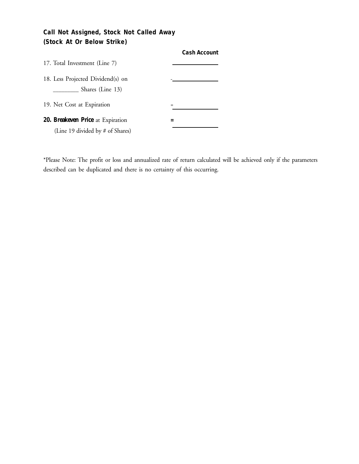## *Call Not Assigned, Stock Not Called Away (Stock At Or Below Strike)*

|                                                       | <b>Cash Account</b> |
|-------------------------------------------------------|---------------------|
| 17. Total Investment (Line 7)                         |                     |
| 18. Less Projected Dividend(s) on<br>Shares (Line 13) |                     |
| 19. Net Cost at Expiration                            |                     |
| 20. Breakeven Price at Expiration                     |                     |
| (Line 19 divided by # of Shares)                      |                     |

\*Please Note: The profit or loss and annualized rate of return calculated will be achieved only if the parameters described can be duplicated and there is no certainty of this occurring.